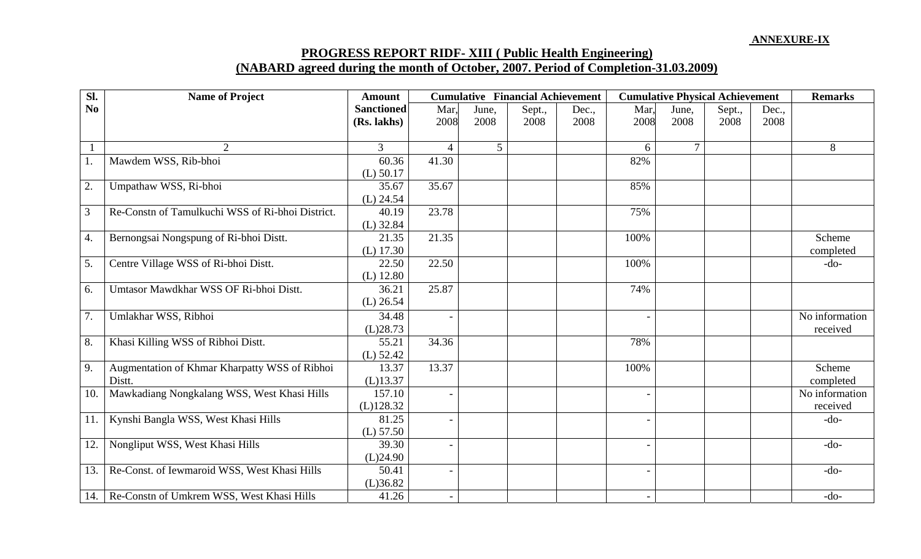## **PROGRESS REPORT RIDF- XIII ( Public Health Engineering) (NABARD agreed during the month of October, 2007. Period of Completion-31.03.2009)**

| Sl. | <b>Name of Project</b>                           | <b>Amount</b>     |                | <b>Cumulative Financial Achievement</b> |        |       | <b>Cumulative Physical Achievement</b> |                |        |       | <b>Remarks</b> |
|-----|--------------------------------------------------|-------------------|----------------|-----------------------------------------|--------|-------|----------------------------------------|----------------|--------|-------|----------------|
| No  |                                                  | <b>Sanctioned</b> | Mar,           | June,                                   | Sept., | Dec., | Mar,                                   | June,          | Sept., | Dec., |                |
|     |                                                  | (Rs. lakhs)       | 2008           | 2008                                    | 2008   | 2008  | 2008                                   | 2008           | 2008   | 2008  |                |
|     | 2                                                | $\overline{3}$    | $\overline{4}$ | $\mathfrak{S}$                          |        |       | 6                                      | $\overline{7}$ |        |       | 8              |
| 1.  | Mawdem WSS, Rib-bhoi                             | 60.36             | 41.30          |                                         |        |       | 82%                                    |                |        |       |                |
|     |                                                  | $(L)$ 50.17       |                |                                         |        |       |                                        |                |        |       |                |
| 2.  | Umpathaw WSS, Ri-bhoi                            | 35.67             | 35.67          |                                         |        |       | 85%                                    |                |        |       |                |
|     |                                                  | $(L)$ 24.54       |                |                                         |        |       |                                        |                |        |       |                |
| 3   | Re-Constn of Tamulkuchi WSS of Ri-bhoi District. | 40.19             | 23.78          |                                         |        |       | 75%                                    |                |        |       |                |
|     |                                                  | $(L)$ 32.84       |                |                                         |        |       |                                        |                |        |       |                |
| 4.  | Bernongsai Nongspung of Ri-bhoi Distt.           | 21.35             | 21.35          |                                         |        |       | 100%                                   |                |        |       | Scheme         |
|     |                                                  | $(L)$ 17.30       |                |                                         |        |       |                                        |                |        |       | completed      |
| 5.  | Centre Village WSS of Ri-bhoi Distt.             | 22.50             | 22.50          |                                         |        |       | 100%                                   |                |        |       | $-do-$         |
|     |                                                  | $(L)$ 12.80       |                |                                         |        |       |                                        |                |        |       |                |
| 6.  | Umtasor Mawdkhar WSS OF Ri-bhoi Distt.           | 36.21             | 25.87          |                                         |        |       | 74%                                    |                |        |       |                |
|     |                                                  | $(L)$ 26.54       |                |                                         |        |       |                                        |                |        |       |                |
| 7.  | Umlakhar WSS, Ribhoi                             | 34.48             |                |                                         |        |       |                                        |                |        |       | No information |
|     |                                                  | (L)28.73          |                |                                         |        |       |                                        |                |        |       | received       |
| 8.  | Khasi Killing WSS of Ribhoi Distt.               | 55.21             | 34.36          |                                         |        |       | 78%                                    |                |        |       |                |
|     |                                                  | $(L)$ 52.42       |                |                                         |        |       |                                        |                |        |       |                |
| 9.  | Augmentation of Khmar Kharpatty WSS of Ribhoi    | 13.37             | 13.37          |                                         |        |       | 100%                                   |                |        |       | Scheme         |
|     | Distt.                                           | $(L)$ 13.37       |                |                                         |        |       |                                        |                |        |       | completed      |
| 10. | Mawkadiang Nongkalang WSS, West Khasi Hills      | 157.10            |                |                                         |        |       |                                        |                |        |       | No information |
|     |                                                  | (L)128.32         |                |                                         |        |       |                                        |                |        |       | received       |
| 11. | Kynshi Bangla WSS, West Khasi Hills              | 81.25             |                |                                         |        |       | $\qquad \qquad -$                      |                |        |       | $-do-$         |
|     |                                                  | (L) 57.50         |                |                                         |        |       |                                        |                |        |       |                |
| 12. | Nongliput WSS, West Khasi Hills                  | 39.30             |                |                                         |        |       |                                        |                |        |       | $-do-$         |
|     |                                                  | (L)24.90          |                |                                         |        |       |                                        |                |        |       |                |
| 13. | Re-Const. of Iewmaroid WSS, West Khasi Hills     | 50.41             |                |                                         |        |       |                                        |                |        |       | $-do-$         |
|     |                                                  | (L)36.82          |                |                                         |        |       |                                        |                |        |       |                |
| 14. | Re-Constn of Umkrem WSS, West Khasi Hills        | 41.26             |                |                                         |        |       | $\overline{\phantom{a}}$               |                |        |       | $-do-$         |